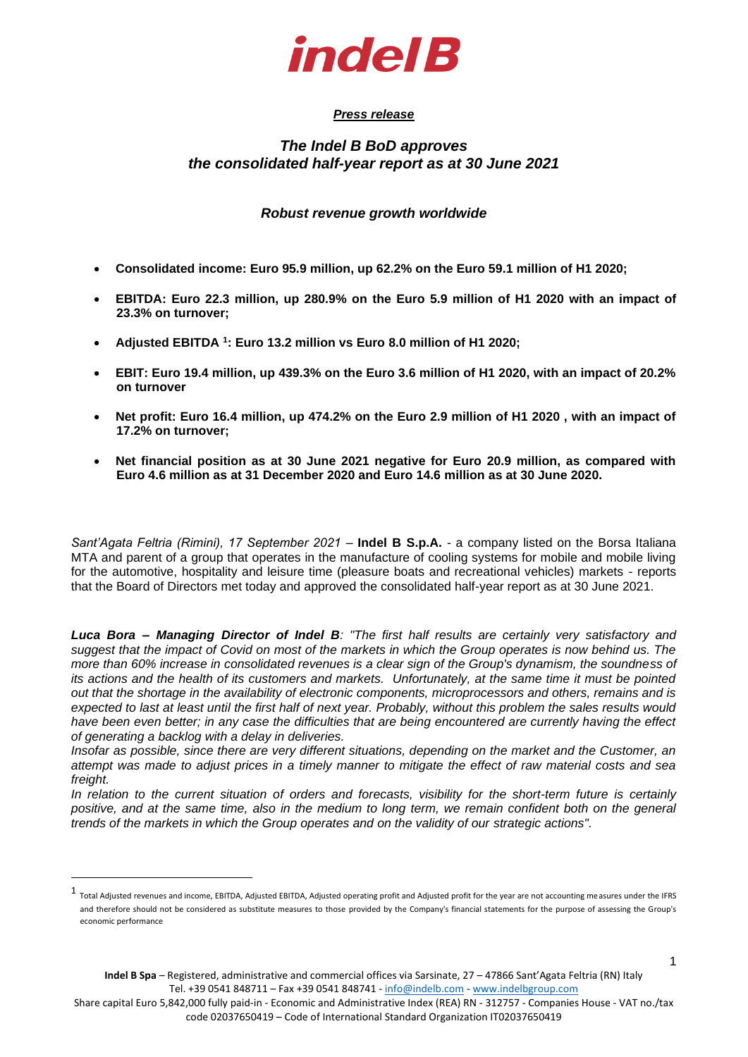

# *Press release*

# *The Indel B BoD approves the consolidated half-year report as at 30 June 2021*

# *Robust revenue growth worldwide*

- **Consolidated income: Euro 95.9 million, up 62.2% on the Euro 59.1 million of H1 2020;**
- **EBITDA: Euro 22.3 million, up 280.9% on the Euro 5.9 million of H1 2020 with an impact of 23.3% on turnover;**
- **Adjusted EBITDA <sup>1</sup> : Euro 13.2 million vs Euro 8.0 million of H1 2020;**
- **EBIT: Euro 19.4 million, up 439.3% on the Euro 3.6 million of H1 2020, with an impact of 20.2% on turnover**
- **Net profit: Euro 16.4 million, up 474.2% on the Euro 2.9 million of H1 2020 , with an impact of 17.2% on turnover;**
- **Net financial position as at 30 June 2021 negative for Euro 20.9 million, as compared with Euro 4.6 million as at 31 December 2020 and Euro 14.6 million as at 30 June 2020.**

*Sant'Agata Feltria (Rimini), 17 September 2021 – Indel B S.p.A. - a company listed on the Borsa Italiana* MTA and parent of a group that operates in the manufacture of cooling systems for mobile and mobile living for the automotive, hospitality and leisure time (pleasure boats and recreational vehicles) markets - reports that the Board of Directors met today and approved the consolidated half-year report as at 30 June 2021.

*Luca Bora – Managing Director of Indel B: "The first half results are certainly very satisfactory and suggest that the impact of Covid on most of the markets in which the Group operates is now behind us. The more than 60% increase in consolidated revenues is a clear sign of the Group's dynamism, the soundness of its actions and the health of its customers and markets. Unfortunately, at the same time it must be pointed out that the shortage in the availability of electronic components, microprocessors and others, remains and is expected to last at least until the first half of next year. Probably, without this problem the sales results would have been even better; in any case the difficulties that are being encountered are currently having the effect of generating a backlog with a delay in deliveries.*

*Insofar as possible, since there are very different situations, depending on the market and the Customer, an attempt was made to adjust prices in a timely manner to mitigate the effect of raw material costs and sea freight.* 

*In relation to the current situation of orders and forecasts, visibility for the short-term future is certainly*  positive, and at the same time, also in the medium to long term, we remain confident both on the general *trends of the markets in which the Group operates and on the validity of our strategic actions".*

<sup>1</sup> Total Adjusted revenues and income, EBITDA, Adjusted EBITDA, Adjusted operating profit and Adjusted profit for the year are not accounting measures under the IFRS and therefore should not be considered as substitute measures to those provided by the Company's financial statements for the purpose of assessing the Group's economic performance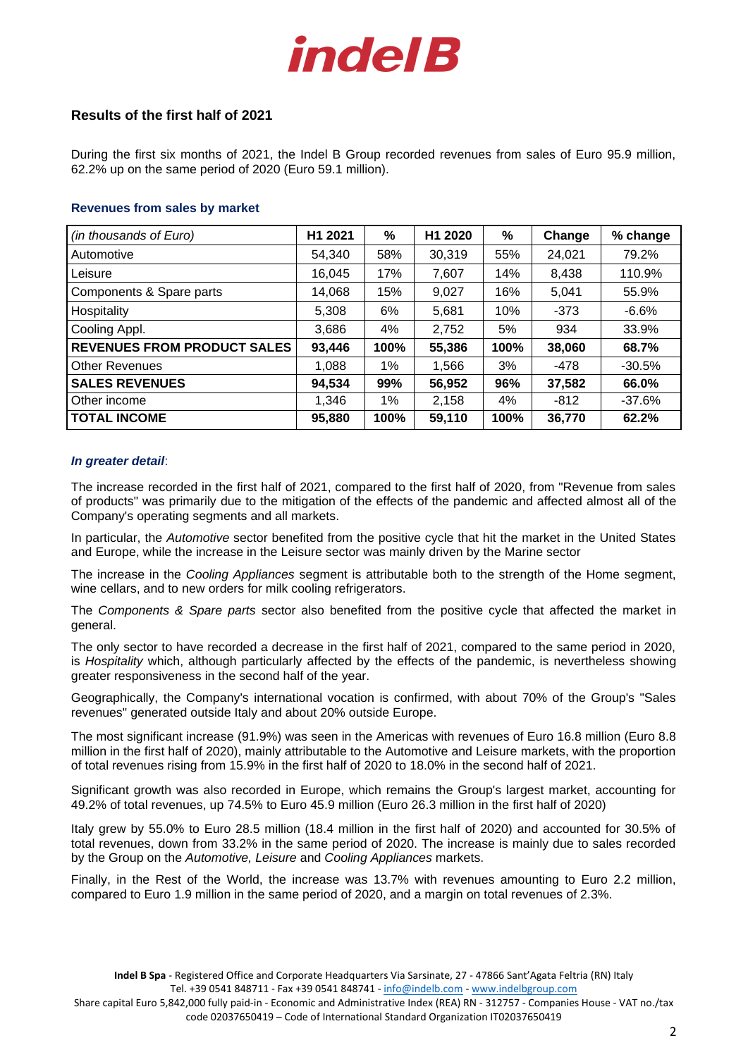

# **Results of the first half of 2021**

During the first six months of 2021, the Indel B Group recorded revenues from sales of Euro 95.9 million, 62.2% up on the same period of 2020 (Euro 59.1 million).

### **Revenues from sales by market**

| (in thousands of Euro)             | H1 2021 | %    | H1 2020 | %    | Change | % change |
|------------------------------------|---------|------|---------|------|--------|----------|
| Automotive                         | 54,340  | 58%  | 30,319  | 55%  | 24,021 | 79.2%    |
| Leisure                            | 16,045  | 17%  | 7,607   | 14%  | 8,438  | 110.9%   |
| Components & Spare parts           | 14,068  | 15%  | 9,027   | 16%  | 5,041  | 55.9%    |
| Hospitality                        | 5,308   | 6%   | 5,681   | 10%  | $-373$ | $-6.6%$  |
| Cooling Appl.                      | 3,686   | 4%   | 2,752   | 5%   | 934    | 33.9%    |
| <b>REVENUES FROM PRODUCT SALES</b> | 93,446  | 100% | 55,386  | 100% | 38,060 | 68.7%    |
| <b>Other Revenues</b>              | 1,088   | 1%   | 1,566   | 3%   | $-478$ | $-30.5%$ |
| <b>SALES REVENUES</b>              | 94,534  | 99%  | 56,952  | 96%  | 37,582 | 66.0%    |
| Other income                       | 1,346   | 1%   | 2,158   | 4%   | $-812$ | $-37.6%$ |
| <b>TOTAL INCOME</b>                | 95,880  | 100% | 59,110  | 100% | 36,770 | 62.2%    |

#### *In greater detail*:

The increase recorded in the first half of 2021, compared to the first half of 2020, from "Revenue from sales of products" was primarily due to the mitigation of the effects of the pandemic and affected almost all of the Company's operating segments and all markets.

In particular, the *Automotive* sector benefited from the positive cycle that hit the market in the United States and Europe, while the increase in the Leisure sector was mainly driven by the Marine sector

The increase in the *Cooling Appliances* segment is attributable both to the strength of the Home segment, wine cellars, and to new orders for milk cooling refrigerators.

The *Components & Spare parts* sector also benefited from the positive cycle that affected the market in general.

The only sector to have recorded a decrease in the first half of 2021, compared to the same period in 2020, is *Hospitality* which, although particularly affected by the effects of the pandemic, is nevertheless showing greater responsiveness in the second half of the year.

Geographically, the Company's international vocation is confirmed, with about 70% of the Group's "Sales revenues" generated outside Italy and about 20% outside Europe.

The most significant increase (91.9%) was seen in the Americas with revenues of Euro 16.8 million (Euro 8.8 million in the first half of 2020), mainly attributable to the Automotive and Leisure markets, with the proportion of total revenues rising from 15.9% in the first half of 2020 to 18.0% in the second half of 2021.

Significant growth was also recorded in Europe, which remains the Group's largest market, accounting for 49.2% of total revenues, up 74.5% to Euro 45.9 million (Euro 26.3 million in the first half of 2020)

Italy grew by 55.0% to Euro 28.5 million (18.4 million in the first half of 2020) and accounted for 30.5% of total revenues, down from 33.2% in the same period of 2020. The increase is mainly due to sales recorded by the Group on the *Automotive, Leisure* and *Cooling Appliances* markets.

Finally, in the Rest of the World, the increase was 13.7% with revenues amounting to Euro 2.2 million, compared to Euro 1.9 million in the same period of 2020, and a margin on total revenues of 2.3%.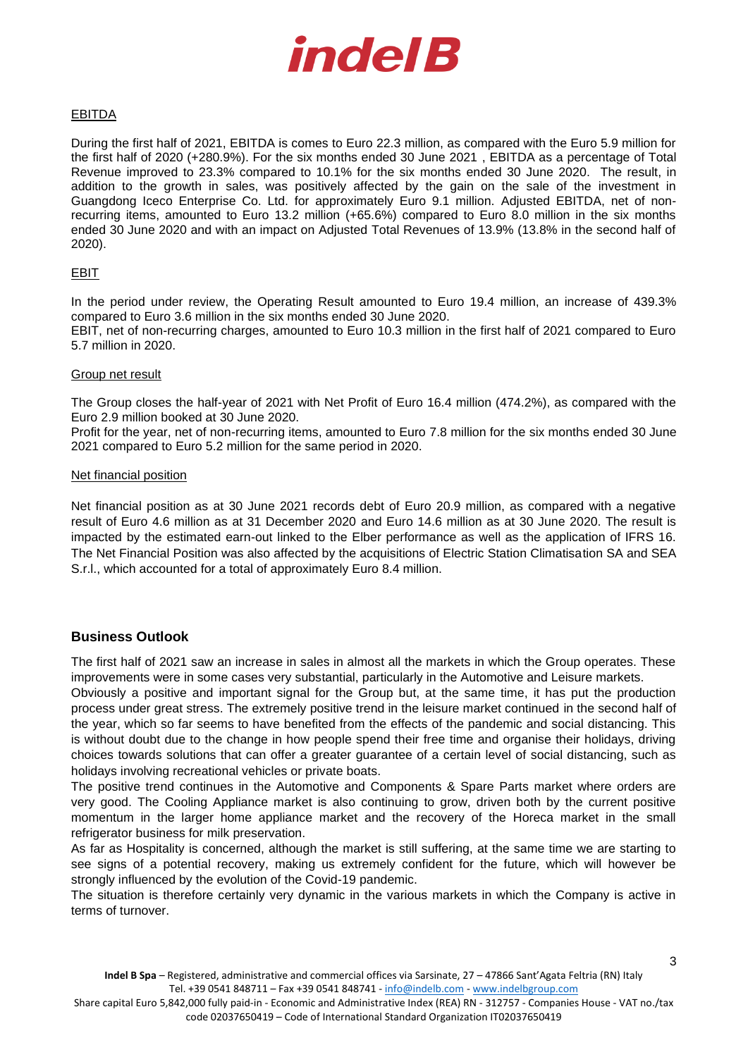

# EBITDA

During the first half of 2021, EBITDA is comes to Euro 22.3 million, as compared with the Euro 5.9 million for the first half of 2020 (+280.9%). For the six months ended 30 June 2021 , EBITDA as a percentage of Total Revenue improved to 23.3% compared to 10.1% for the six months ended 30 June 2020. The result, in addition to the growth in sales, was positively affected by the gain on the sale of the investment in Guangdong Iceco Enterprise Co. Ltd. for approximately Euro 9.1 million. Adjusted EBITDA, net of nonrecurring items, amounted to Euro 13.2 million (+65.6%) compared to Euro 8.0 million in the six months ended 30 June 2020 and with an impact on Adjusted Total Revenues of 13.9% (13.8% in the second half of 2020).

### EBIT

In the period under review, the Operating Result amounted to Euro 19.4 million, an increase of 439.3% compared to Euro 3.6 million in the six months ended 30 June 2020.

EBIT, net of non-recurring charges, amounted to Euro 10.3 million in the first half of 2021 compared to Euro 5.7 million in 2020.

### Group net result

The Group closes the half-year of 2021 with Net Profit of Euro 16.4 million (474.2%), as compared with the Euro 2.9 million booked at 30 June 2020.

Profit for the year, net of non-recurring items, amounted to Euro 7.8 million for the six months ended 30 June 2021 compared to Euro 5.2 million for the same period in 2020.

#### Net financial position

Net financial position as at 30 June 2021 records debt of Euro 20.9 million, as compared with a negative result of Euro 4.6 million as at 31 December 2020 and Euro 14.6 million as at 30 June 2020. The result is impacted by the estimated earn-out linked to the Elber performance as well as the application of IFRS 16. The Net Financial Position was also affected by the acquisitions of Electric Station Climatisation SA and SEA S.r.l., which accounted for a total of approximately Euro 8.4 million.

# **Business Outlook**

The first half of 2021 saw an increase in sales in almost all the markets in which the Group operates. These improvements were in some cases very substantial, particularly in the Automotive and Leisure markets.

Obviously a positive and important signal for the Group but, at the same time, it has put the production process under great stress. The extremely positive trend in the leisure market continued in the second half of the year, which so far seems to have benefited from the effects of the pandemic and social distancing. This is without doubt due to the change in how people spend their free time and organise their holidays, driving choices towards solutions that can offer a greater guarantee of a certain level of social distancing, such as holidays involving recreational vehicles or private boats.

The positive trend continues in the Automotive and Components & Spare Parts market where orders are very good. The Cooling Appliance market is also continuing to grow, driven both by the current positive momentum in the larger home appliance market and the recovery of the Horeca market in the small refrigerator business for milk preservation.

As far as Hospitality is concerned, although the market is still suffering, at the same time we are starting to see signs of a potential recovery, making us extremely confident for the future, which will however be strongly influenced by the evolution of the Covid-19 pandemic.

The situation is therefore certainly very dynamic in the various markets in which the Company is active in terms of turnover.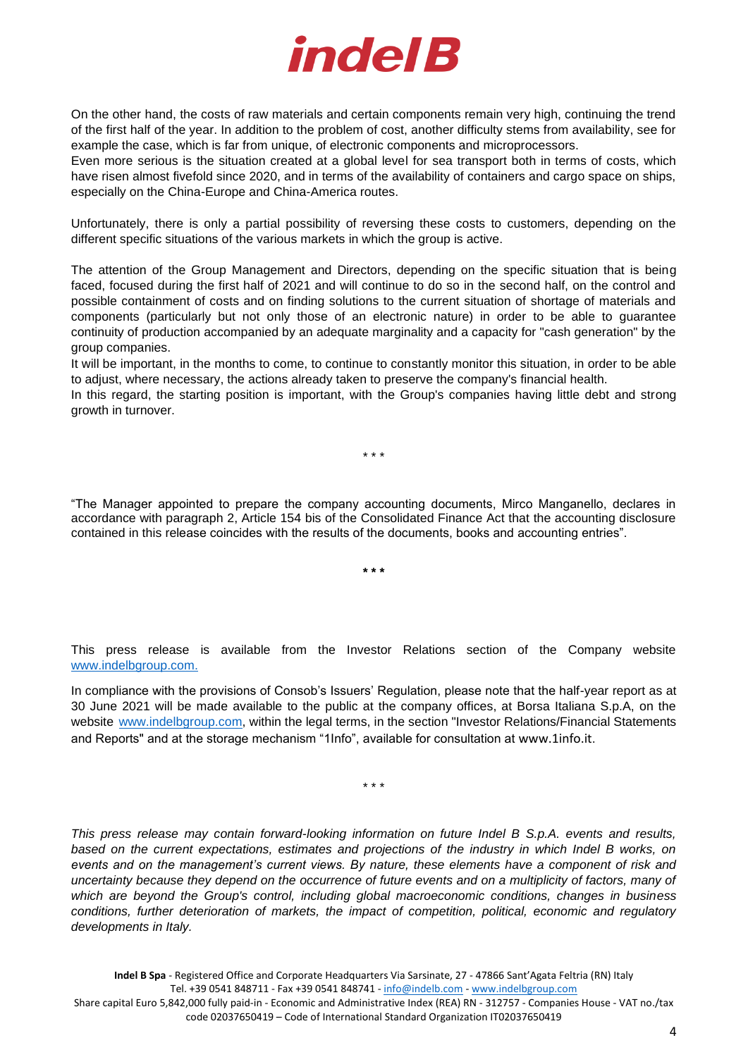

On the other hand, the costs of raw materials and certain components remain very high, continuing the trend of the first half of the year. In addition to the problem of cost, another difficulty stems from availability, see for example the case, which is far from unique, of electronic components and microprocessors.

Even more serious is the situation created at a global level for sea transport both in terms of costs, which have risen almost fivefold since 2020, and in terms of the availability of containers and cargo space on ships, especially on the China-Europe and China-America routes.

Unfortunately, there is only a partial possibility of reversing these costs to customers, depending on the different specific situations of the various markets in which the group is active.

The attention of the Group Management and Directors, depending on the specific situation that is being faced, focused during the first half of 2021 and will continue to do so in the second half, on the control and possible containment of costs and on finding solutions to the current situation of shortage of materials and components (particularly but not only those of an electronic nature) in order to be able to guarantee continuity of production accompanied by an adequate marginality and a capacity for "cash generation" by the group companies.

It will be important, in the months to come, to continue to constantly monitor this situation, in order to be able to adjust, where necessary, the actions already taken to preserve the company's financial health.

In this regard, the starting position is important, with the Group's companies having little debt and strong growth in turnover.

\* \* \*

"The Manager appointed to prepare the company accounting documents, Mirco Manganello, declares in accordance with paragraph 2, Article 154 bis of the Consolidated Finance Act that the accounting disclosure contained in this release coincides with the results of the documents, books and accounting entries".

**\* \* \***

This press release is available from the Investor Relations section of the Company website [www.indelbgroup.com.](http://www.indelbgroup.com/)

In compliance with the provisions of Consob's Issuers' Regulation, please note that the half-year report as at 30 June 2021 will be made available to the public at the company offices, at Borsa Italiana S.p.A, on the website [www.indelbgroup.com,](http://www.indelbgroup.com/) within the legal terms, in the section "Investor Relations/Financial Statements and Reports" and at the storage mechanism "1Info", available for consultation at [www.1info.it](http://www.1info.it/).

\* \* \*

*This press release may contain forward-looking information on future Indel B S.p.A. events and results, based on the current expectations, estimates and projections of the industry in which Indel B works, on events and on the management's current views. By nature, these elements have a component of risk and uncertainty because they depend on the occurrence of future events and on a multiplicity of factors, many of which are beyond the Group's control, including global macroeconomic conditions, changes in business conditions, further deterioration of markets, the impact of competition, political, economic and regulatory developments in Italy.*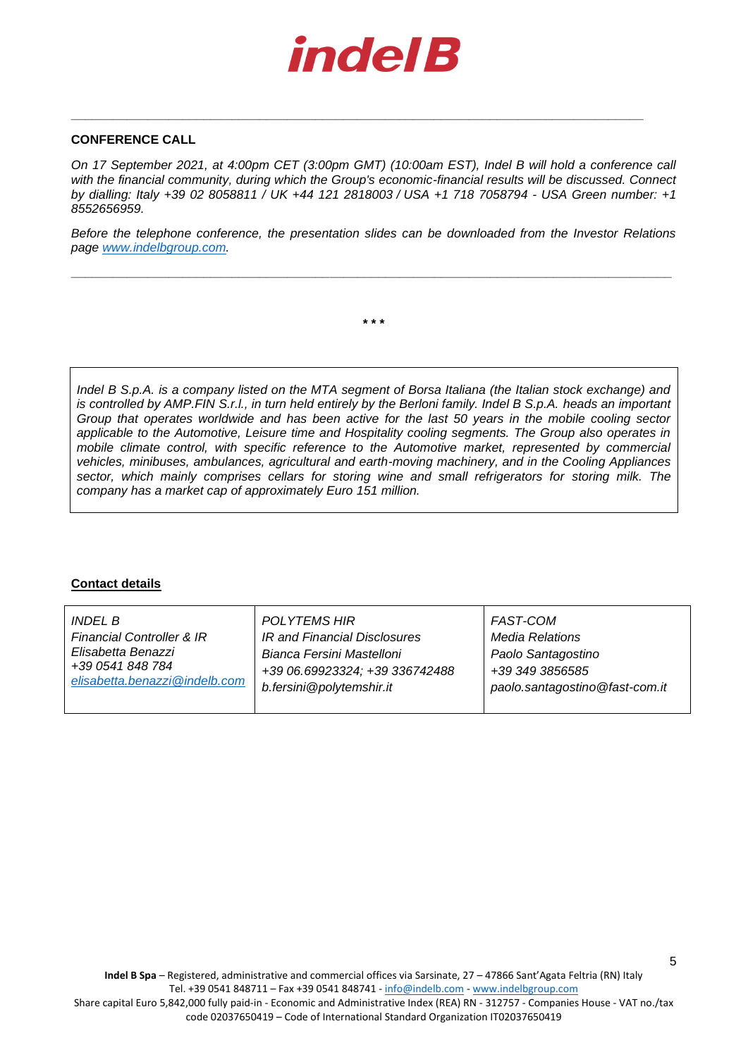

**\_\_\_\_\_\_\_\_\_\_\_\_\_\_\_\_\_\_\_\_\_\_\_\_\_\_\_\_\_\_\_\_\_\_\_\_\_\_\_\_\_\_\_\_\_\_\_\_\_\_\_\_\_\_\_\_\_\_\_\_\_\_\_\_\_\_\_\_\_\_\_\_\_\_\_\_\_\_\_\_\_\_**

### **CONFERENCE CALL**

*On 17 September 2021, at 4:00pm CET (3:00pm GMT) (10:00am EST), Indel B will hold a conference call*  with the financial community, during which the Group's economic-financial results will be discussed. Connect *by dialling: Italy +39 02 8058811 / UK +44 121 2818003 / USA +1 718 7058794 - USA Green number: +1 8552656959.* 

*Before the telephone conference, the presentation slides can be downloaded from the Investor Relations page [www.indelbgroup.com.](http://www.indelbgroup.com/)* 

**\_\_\_\_\_\_\_\_\_\_\_\_\_\_\_\_\_\_\_\_\_\_\_\_\_\_\_\_\_\_\_\_\_\_\_\_\_\_\_\_\_\_\_\_\_\_\_\_\_\_\_\_\_\_\_\_\_\_\_\_\_\_\_\_\_\_\_\_\_\_\_\_\_\_\_\_\_\_\_\_\_\_\_\_\_\_**

**\* \* \***

*Indel B S.p.A. is a company listed on the MTA segment of Borsa Italiana (the Italian stock exchange) and is controlled by AMP.FIN S.r.l., in turn held entirely by the Berloni family. Indel B S.p.A. heads an important Group that operates worldwide and has been active for the last 50 years in the mobile cooling sector applicable to the Automotive, Leisure time and Hospitality cooling segments. The Group also operates in mobile climate control, with specific reference to the Automotive market, represented by commercial vehicles, minibuses, ambulances, agricultural and earth-moving machinery, and in the Cooling Appliances sector, which mainly comprises cellars for storing wine and small refrigerators for storing milk. The company has a market cap of approximately Euro 151 million.* 

# **Contact details**

| <i>INDEL B</i>                       | <b>POLYTEMS HIR</b>            | FAST-COM                       |
|--------------------------------------|--------------------------------|--------------------------------|
| <b>Financial Controller &amp; IR</b> | IR and Financial Disclosures   | Media Relations                |
| Elisabetta Benazzi                   | Bianca Fersini Mastelloni      | Paolo Santagostino             |
| +39 0541 848 784                     | +39 06.69923324; +39 336742488 | +39 349 3856585                |
| elisabetta.benazzi@indelb.com        | b.fersini@polytemshir.it       | paolo.santagostino@fast-com.it |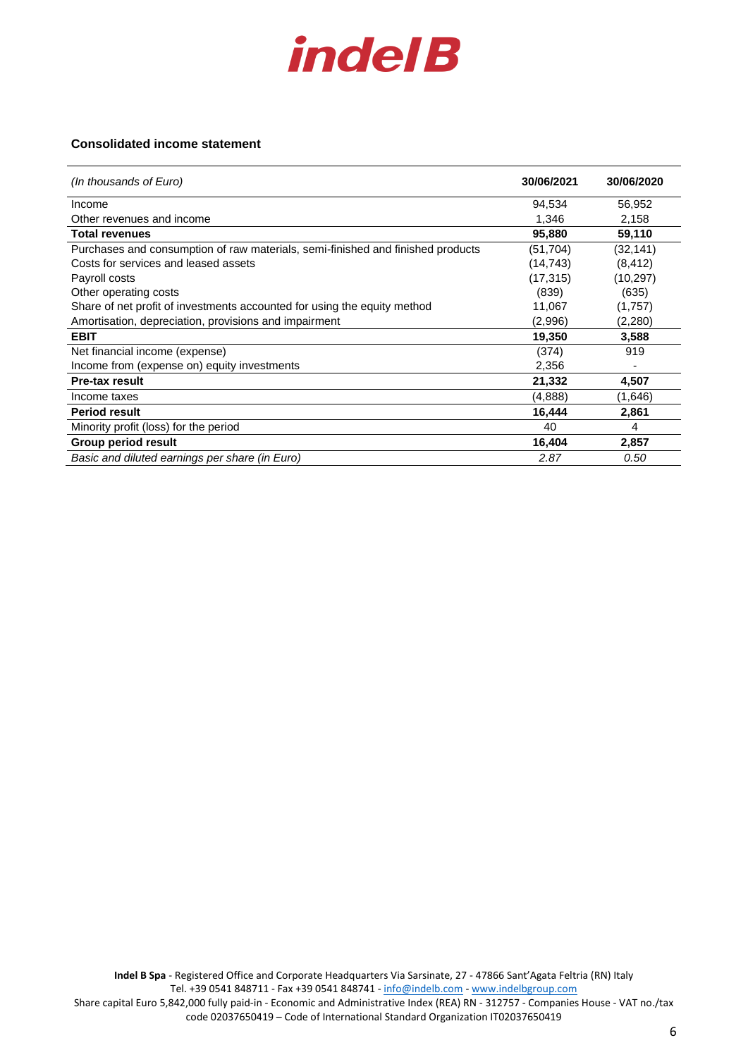

### **Consolidated income statement**

| (In thousands of Euro)                                                          | 30/06/2021 | 30/06/2020               |
|---------------------------------------------------------------------------------|------------|--------------------------|
| Income                                                                          | 94,534     | 56,952                   |
| Other revenues and income                                                       | 1,346      | 2,158                    |
| <b>Total revenues</b>                                                           | 95,880     | 59,110                   |
| Purchases and consumption of raw materials, semi-finished and finished products | (51, 704)  | (32, 141)                |
| Costs for services and leased assets                                            | (14, 743)  | (8, 412)                 |
| Payroll costs                                                                   | (17, 315)  | (10, 297)                |
| Other operating costs                                                           | (839)      | (635)                    |
| Share of net profit of investments accounted for using the equity method        | 11,067     | (1,757)                  |
| Amortisation, depreciation, provisions and impairment                           | (2,996)    | (2,280)                  |
| <b>EBIT</b>                                                                     | 19,350     | 3,588                    |
| Net financial income (expense)                                                  | (374)      | 919                      |
| Income from (expense on) equity investments                                     | 2,356      | $\overline{\phantom{0}}$ |
| <b>Pre-tax result</b>                                                           | 21,332     | 4,507                    |
| Income taxes                                                                    | (4,888)    | (1,646)                  |
| <b>Period result</b>                                                            | 16,444     | 2,861                    |
| Minority profit (loss) for the period                                           | 40         | 4                        |
| Group period result                                                             | 16,404     | 2,857                    |
| Basic and diluted earnings per share (in Euro)                                  | 2.87       | 0.50                     |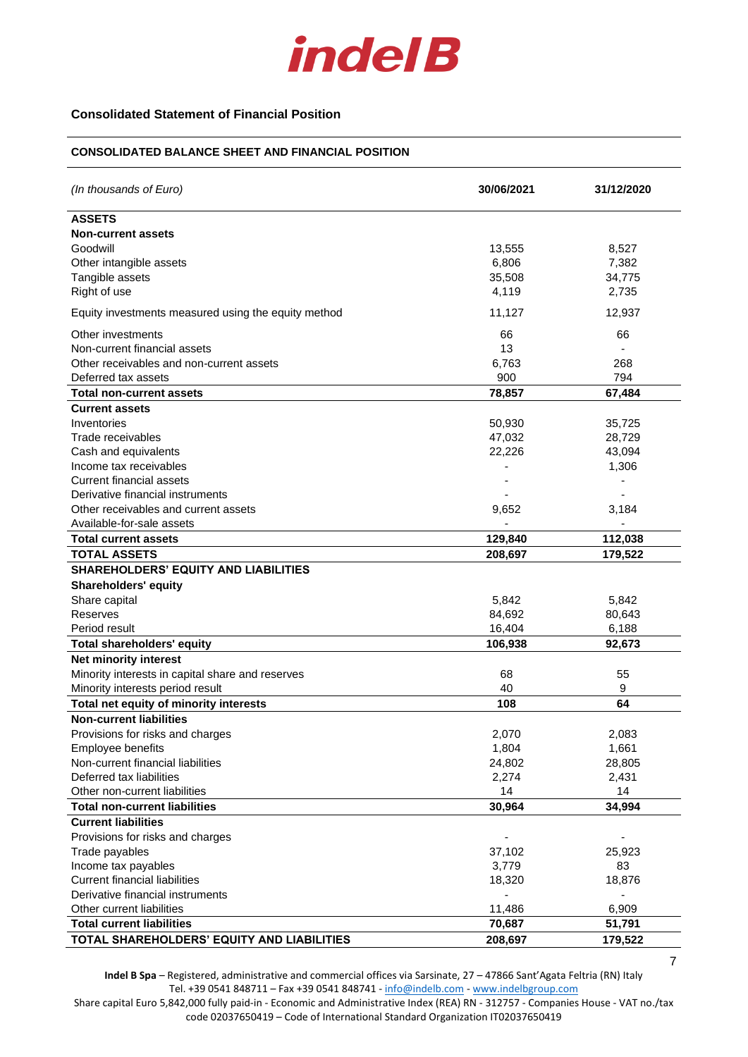

## **Consolidated Statement of Financial Position**

#### **CONSOLIDATED BALANCE SHEET AND FINANCIAL POSITION**

| (In thousands of Euro)                              | 30/06/2021 | 31/12/2020 |
|-----------------------------------------------------|------------|------------|
| <b>ASSETS</b>                                       |            |            |
| <b>Non-current assets</b>                           |            |            |
| Goodwill                                            | 13,555     | 8,527      |
| Other intangible assets                             | 6,806      | 7,382      |
| Tangible assets                                     | 35,508     | 34,775     |
| Right of use                                        | 4,119      | 2,735      |
| Equity investments measured using the equity method | 11,127     | 12,937     |
| Other investments                                   | 66         | 66         |
| Non-current financial assets                        | 13         |            |
| Other receivables and non-current assets            | 6,763      | 268        |
| Deferred tax assets                                 | 900        | 794        |
| <b>Total non-current assets</b>                     | 78,857     | 67,484     |
| <b>Current assets</b>                               |            |            |
| Inventories                                         | 50,930     | 35,725     |
| Trade receivables                                   | 47,032     | 28,729     |
| Cash and equivalents                                | 22,226     | 43,094     |
| Income tax receivables                              |            | 1,306      |
| Current financial assets                            |            |            |
| Derivative financial instruments                    |            |            |
| Other receivables and current assets                | 9,652      | 3,184      |
| Available-for-sale assets                           |            |            |
| <b>Total current assets</b>                         | 129,840    | 112,038    |
| <b>TOTAL ASSETS</b>                                 | 208,697    | 179,522    |
| <b>SHAREHOLDERS' EQUITY AND LIABILITIES</b>         |            |            |
| <b>Shareholders' equity</b>                         |            |            |
| Share capital                                       | 5,842      | 5,842      |
| Reserves                                            | 84,692     | 80,643     |
| Period result                                       | 16,404     | 6,188      |
| <b>Total shareholders' equity</b>                   | 106,938    | 92,673     |
| <b>Net minority interest</b>                        |            |            |
| Minority interests in capital share and reserves    | 68         | 55         |
| Minority interests period result                    | 40         | 9          |
| Total net equity of minority interests              | 108        | 64         |
| <b>Non-current liabilities</b>                      |            |            |
| Provisions for risks and charges                    | 2,070      | 2,083      |
| Employee benefits                                   | 1,804      | 1,661      |
| Non-current financial liabilities                   | 24,802     | 28,805     |
| Deferred tax liabilities                            | 2,274      | 2,431      |
| Other non-current liabilities                       | 14         | 14         |
| <b>Total non-current liabilities</b>                | 30,964     | 34,994     |
| <b>Current liabilities</b>                          |            |            |
| Provisions for risks and charges                    |            |            |
| Trade payables                                      | 37,102     | 25,923     |
| Income tax payables                                 | 3,779      | 83         |
| <b>Current financial liabilities</b>                | 18,320     | 18,876     |
| Derivative financial instruments                    |            |            |
| Other current liabilities                           | 11,486     | 6,909      |
| <b>Total current liabilities</b>                    | 70,687     | 51,791     |
| TOTAL SHAREHOLDERS' EQUITY AND LIABILITIES          | 208,697    | 179,522    |

**Indel B Spa** – Registered, administrative and commercial offices via Sarsinate, 27 – 47866 Sant'Agata Feltria (RN) Italy Tel. +39 0541 848711 – Fax +39 0541 848741 - [info@indelb.com](mailto:info@indelb.com) - [www.indelbgroup.com](http://www.indelbgroup.com/)

7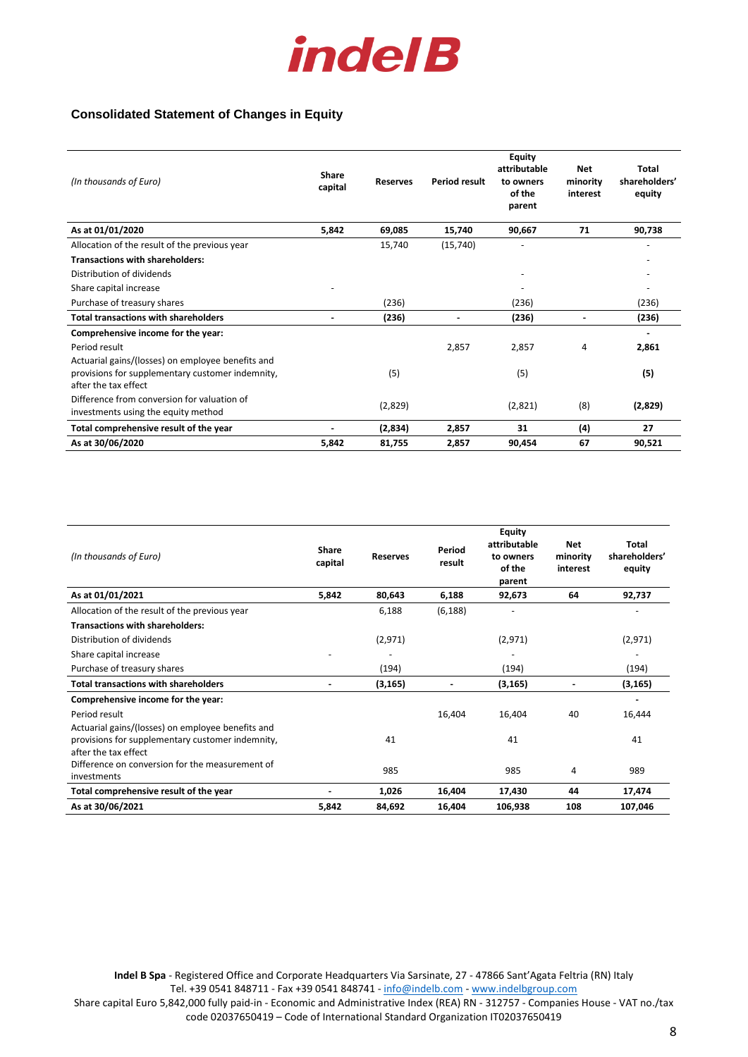

# **Consolidated Statement of Changes in Equity**

| (In thousands of Euro)                                                                                                        | Share<br>capital | <b>Reserves</b> | <b>Period result</b> | <b>Equity</b><br>attributable<br>to owners<br>of the<br>parent | <b>Net</b><br>minority<br>interest | <b>Total</b><br>shareholders'<br>equity |
|-------------------------------------------------------------------------------------------------------------------------------|------------------|-----------------|----------------------|----------------------------------------------------------------|------------------------------------|-----------------------------------------|
| As at 01/01/2020                                                                                                              | 5,842            | 69,085          | 15,740               | 90.667                                                         | 71                                 | 90,738                                  |
| Allocation of the result of the previous year                                                                                 |                  | 15,740          | (15,740)             |                                                                |                                    |                                         |
| <b>Transactions with shareholders:</b>                                                                                        |                  |                 |                      |                                                                |                                    |                                         |
| Distribution of dividends                                                                                                     |                  |                 |                      |                                                                |                                    |                                         |
| Share capital increase                                                                                                        |                  |                 |                      |                                                                |                                    |                                         |
| Purchase of treasury shares                                                                                                   |                  | (236)           |                      | (236)                                                          |                                    | (236)                                   |
| <b>Total transactions with shareholders</b>                                                                                   |                  | (236)           |                      | (236)                                                          |                                    | (236)                                   |
| Comprehensive income for the year:                                                                                            |                  |                 |                      |                                                                |                                    |                                         |
| Period result                                                                                                                 |                  |                 | 2,857                | 2,857                                                          | 4                                  | 2,861                                   |
| Actuarial gains/(losses) on employee benefits and<br>provisions for supplementary customer indemnity,<br>after the tax effect |                  | (5)             |                      | (5)                                                            |                                    | (5)                                     |
| Difference from conversion for valuation of<br>investments using the equity method                                            |                  | (2,829)         |                      | (2,821)                                                        | (8)                                | (2,829)                                 |
| Total comprehensive result of the year                                                                                        |                  | (2,834)         | 2,857                | 31                                                             | (4)                                | 27                                      |
| As at 30/06/2020                                                                                                              | 5,842            | 81,755          | 2.857                | 90,454                                                         | 67                                 | 90,521                                  |

| (In thousands of Euro)                                         | <b>Share</b><br>capital | <b>Reserves</b> | Period<br>result | <b>Equity</b><br>attributable<br>to owners<br>of the<br>parent | <b>Net</b><br>minority<br>interest | Total<br>shareholders'<br>equity |
|----------------------------------------------------------------|-------------------------|-----------------|------------------|----------------------------------------------------------------|------------------------------------|----------------------------------|
| As at 01/01/2021                                               | 5,842                   | 80,643          | 6,188            | 92,673                                                         | 64                                 | 92,737                           |
| Allocation of the result of the previous year                  |                         | 6,188           | (6, 188)         |                                                                |                                    |                                  |
| <b>Transactions with shareholders:</b>                         |                         |                 |                  |                                                                |                                    |                                  |
| Distribution of dividends                                      |                         | (2,971)         |                  | (2,971)                                                        |                                    | (2,971)                          |
| Share capital increase                                         |                         |                 |                  |                                                                |                                    |                                  |
| Purchase of treasury shares                                    |                         | (194)           |                  | (194)                                                          |                                    | (194)                            |
| <b>Total transactions with shareholders</b>                    |                         | (3, 165)        |                  | (3, 165)                                                       |                                    | (3, 165)                         |
| Comprehensive income for the year:                             |                         |                 |                  |                                                                |                                    |                                  |
| Period result                                                  |                         |                 | 16,404           | 16,404                                                         | 40                                 | 16,444                           |
| Actuarial gains/(losses) on employee benefits and              |                         |                 |                  |                                                                |                                    |                                  |
| provisions for supplementary customer indemnity,               |                         | 41              |                  | 41                                                             |                                    | 41                               |
| after the tax effect                                           |                         |                 |                  |                                                                |                                    |                                  |
| Difference on conversion for the measurement of<br>investments |                         | 985             |                  | 985                                                            | 4                                  | 989                              |
| Total comprehensive result of the year                         |                         | 1,026           | 16,404           | 17,430                                                         | 44                                 | 17,474                           |
| As at 30/06/2021                                               | 5,842                   | 84,692          | 16,404           | 106,938                                                        | 108                                | 107,046                          |

**Indel B Spa** - Registered Office and Corporate Headquarters Via Sarsinate, 27 - 47866 Sant'Agata Feltria (RN) Italy Tel. +39 0541 848711 - Fax +39 0541 848741 - [info@indelb.com](mailto:info@indelb.com) - [www.indelbgroup.com](http://www.indelbgroup.com/)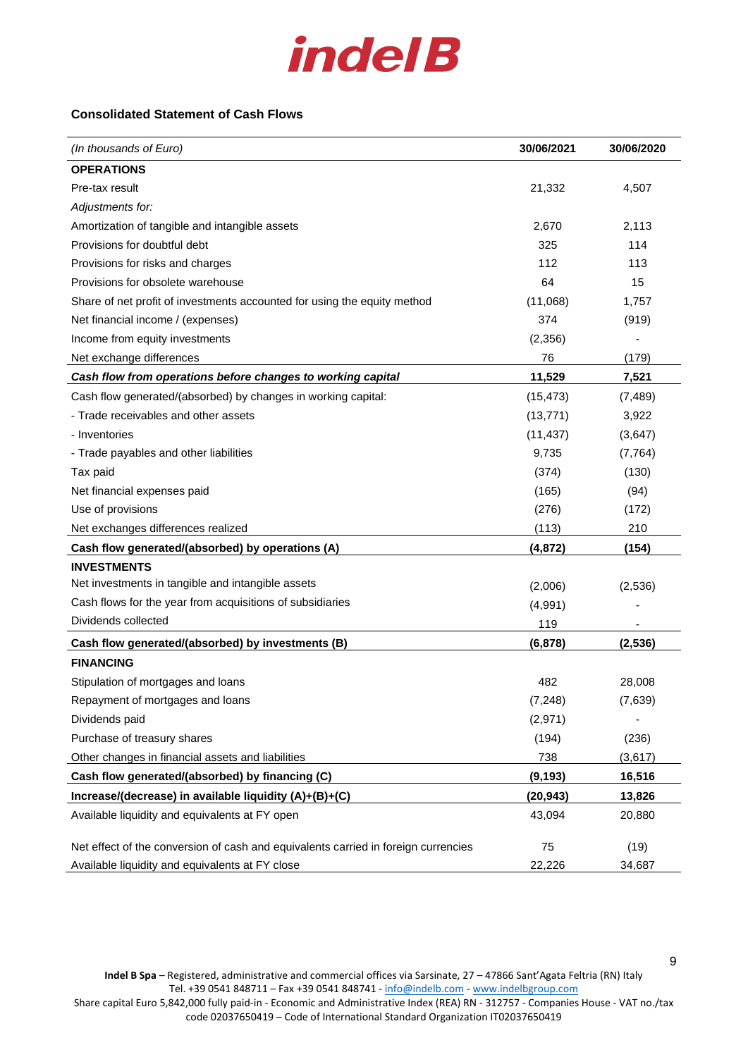

## **Consolidated Statement of Cash Flows**

| (In thousands of Euro)                                                             | 30/06/2021 | 30/06/2020 |
|------------------------------------------------------------------------------------|------------|------------|
| <b>OPERATIONS</b>                                                                  |            |            |
| Pre-tax result                                                                     | 21,332     | 4,507      |
| Adjustments for:                                                                   |            |            |
| Amortization of tangible and intangible assets                                     | 2,670      | 2,113      |
| Provisions for doubtful debt                                                       | 325        | 114        |
| Provisions for risks and charges                                                   | 112        | 113        |
| Provisions for obsolete warehouse                                                  | 64         | 15         |
| Share of net profit of investments accounted for using the equity method           | (11,068)   | 1,757      |
| Net financial income / (expenses)                                                  | 374        | (919)      |
| Income from equity investments                                                     | (2,356)    |            |
| Net exchange differences                                                           | 76         | (179)      |
| Cash flow from operations before changes to working capital                        | 11,529     | 7,521      |
| Cash flow generated/(absorbed) by changes in working capital:                      | (15, 473)  | (7, 489)   |
| - Trade receivables and other assets                                               | (13, 771)  | 3,922      |
| - Inventories                                                                      | (11, 437)  | (3,647)    |
| - Trade payables and other liabilities                                             | 9,735      | (7, 764)   |
| Tax paid                                                                           | (374)      | (130)      |
| Net financial expenses paid                                                        | (165)      | (94)       |
| Use of provisions                                                                  | (276)      | (172)      |
| Net exchanges differences realized                                                 | (113)      | 210        |
| Cash flow generated/(absorbed) by operations (A)                                   | (4, 872)   | (154)      |
| <b>INVESTMENTS</b>                                                                 |            |            |
| Net investments in tangible and intangible assets                                  | (2,006)    | (2,536)    |
| Cash flows for the year from acquisitions of subsidiaries                          | (4,991)    |            |
| Dividends collected                                                                | 119        |            |
| Cash flow generated/(absorbed) by investments (B)                                  | (6, 878)   | (2, 536)   |
| <b>FINANCING</b>                                                                   |            |            |
| Stipulation of mortgages and loans                                                 | 482        | 28,008     |
| Repayment of mortgages and loans                                                   | (7, 248)   | (7,639)    |
| Dividends paid                                                                     | (2,971)    |            |
| Purchase of treasury shares                                                        | (194)      | (236)      |
| Other changes in financial assets and liabilities                                  | 738        | (3,617)    |
| Cash flow generated/(absorbed) by financing (C)                                    | (9, 193)   | 16,516     |
| Increase/(decrease) in available liquidity (A)+(B)+(C)                             | (20, 943)  | 13,826     |
| Available liquidity and equivalents at FY open                                     | 43,094     | 20,880     |
|                                                                                    |            |            |
| Net effect of the conversion of cash and equivalents carried in foreign currencies | 75         | (19)       |
| Available liquidity and equivalents at FY close                                    | 22,226     | 34,687     |

**Indel B Spa** – Registered, administrative and commercial offices via Sarsinate, 27 – 47866 Sant'Agata Feltria (RN) Italy Tel. +39 0541 848711 – Fax +39 0541 848741 - [info@indelb.com](mailto:info@indelb.com) - [www.indelbgroup.com](http://www.indelbgroup.com/) Share capital Euro 5,842,000 fully paid-in - Economic and Administrative Index (REA) RN - 312757 - Companies House - VAT no./tax code 02037650419 – Code of International Standard Organization IT02037650419